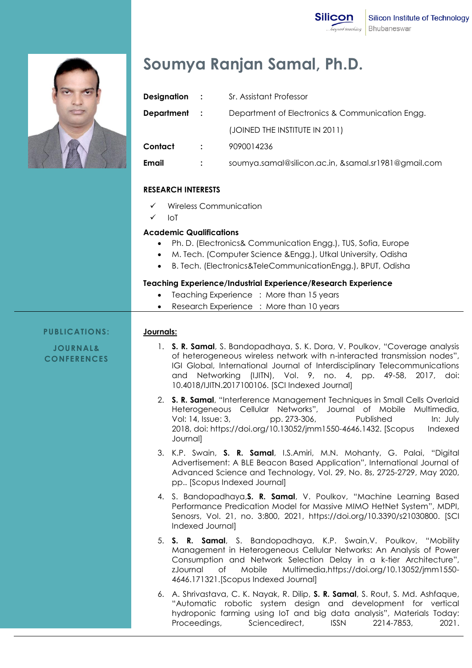

# **Soumya Ranjan Samal, Ph.D.**

| Designation : |                | Sr. Assistant Professor                             |
|---------------|----------------|-----------------------------------------------------|
| Department    | $\mathbb{R}^2$ | Department of Electronics & Communication Engg.     |
|               |                | (JOINED THE INSTITUTE IN 2011)                      |
| Contact       | $\ddot{\cdot}$ | 9090014236                                          |
| Email         | $\ddot{\cdot}$ | soumya.samal@silicon.ac.in, &samal.sr1981@gmail.com |

#### **RESEARCH INTERESTS**

- Wireless Communication
- $\sqrt{ }$  IoT

# **Academic Qualifications**

- Ph. D. (Electronics& Communication Engg.), TUS, Sofia, Europe
- M. Tech. (Computer Science &Engg.), Utkal University, Odisha
- B. Tech. (Electronics&TeleCommunicationEngg.), BPUT, Odisha

#### **Teaching Experience/Industrial Experience/Research Experience**

- Teaching Experience : More than 15 years
- Research Experience : More than 10 years

### **PUBLICATIONS:**

# **Journals:**

**JOURNAL& CONFERENCES**

- 1. **S. R. Samal**, S. Bandopadhaya, S. K. Dora, V. Poulkov, "Coverage analysis of heterogeneous wireless network with n-interacted transmission nodes", IGI Global, International Journal of Interdisciplinary Telecommunications and Networking (IJITN), Vol. 9, no. 4, pp. 49-58, 2017, doi: 10.4018/IJITN.2017100106. [SCI Indexed Journal]
- 2. **S. R. Samal**, "Interference Management Techniques in Small Cells Overlaid Heterogeneous Cellular Networks", Journal of Mobile Multimedia, Vol: 14, Issue: 3, pp. 273-306, Published In: July 2018, doi: https://doi.org/10.13052/jmm1550-4646.1432. [Scopus Indexed Journal]
- 3. K.P. Swain, **S. R. Samal**, I.S.Amiri, M.N. Mohanty, G. Palai, "Digital Advertisement: A BLE Beacon Based Application", International Journal of Advanced Science and Technology, Vol. 29, No. 8s, 2725-2729, May 2020, pp.. [Scopus Indexed Journal]
- 4. S. Bandopadhaya,**S. R. Samal**, V. Poulkov, "Machine Learning Based Performance Predication Model for Massive MIMO HetNet System", MDPI, Senosrs, Vol. 21, no. 3:800, 2021, https://doi.org/10.3390/s21030800. [SCI Indexed Journal]
- 5. **S. R. Samal**, S. Bandopadhaya, K.P. Swain,V. Poulkov, "Mobility Management in Heterogeneous Cellular Networks: An Analysis of Power Consumption and Network Selection Delay in a k-tier Architecture", zJournal of Mobile Multimedia,https://doi.org/10.13052/jmm1550- 4646.171321.[Scopus Indexed Journal]
- 6. A. Shrivastava, C. K. Nayak, R. Dilip, **S. R. Samal**, S. Rout, S. Md. Ashfaque, "Automatic robotic system design and development for vertical hydroponic farming using IoT and big data analysis", Materials Today: Proceedings, Sciencedirect, ISSN 2214-7853, 2021.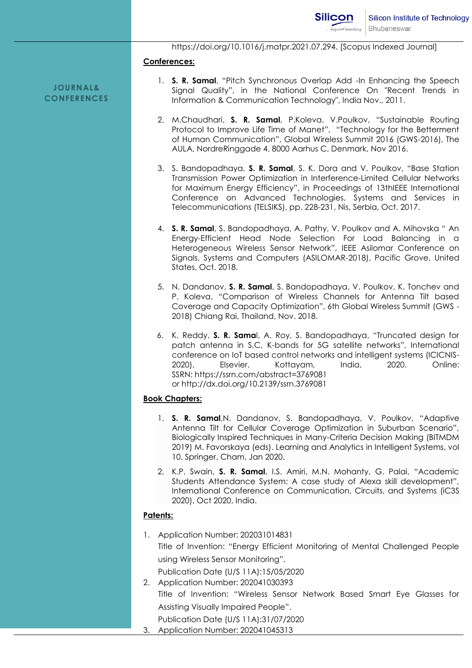https://doi.org/10.1016/j.matpr.2021.07.294. [Scopus Indexed Journal]

#### **Conferences:**

**JOURNAL& CONFERENCES**

- 1. **S. R. Samal**, "Pitch Synchronous Overlap Add -In Enhancing the Speech Signal Quality", in the National Conference On "Recent Trends in Information & Communication Technology", India Nov., 2011.
- 2. M.Chaudhari, **S. R. Samal**, P.Koleva, V.Poulkov, "Sustainable Routing Protocol to Improve Life Time of Manet", "Technology for the Betterment of Human Communication", Global Wireless Summit 2016 (GWS-2016), The AULA, NordreRinggade 4, 8000 Aarhus C, Denmark, Nov 2016.
- 3. S. Bandopadhaya, **S. R. Samal**, S. K. Dora and V. Poulkov, "Base Station Transmission Power Optimization in Interference-Limited Cellular Networks for Maximum Energy Efficiency", in Proceedings of 13thIEEE International Conference on Advanced Technologies, Systems and Services in Telecommunications (TELSIKS), pp. 228-231, Nis, Serbia, Oct. 2017.
- 4. **S. R. Samal**, S. Bandopadhaya, A. Pathy, V. Poulkov and A. Mihovska " An Energy-Efficient Head Node Selection For Load Balancing in a Heterogeneous Wireless Sensor Network", IEEE Asilomar Conference on Signals, Systems and Computers (ASILOMAR-2018), Pacific Grove, United States, Oct. 2018.
- 5. N. Dandanov, **S. R. Samal**, S. Bandopadhaya, V. Poulkov, K. Tonchev and P. Koleva, "Comparison of Wireless Channels for Antenna Tilt based Coverage and Capacity Optimization", 6th Global Wireless Summit (GWS - 2018) Chiang Rai, Thailand, Nov. 2018.
- 6. K. Reddy, **S. R. Sama**l, A. Roy, S. Bandopadhaya, "Truncated design for patch antenna in S,C, K-bands for 5G satellite networks", International conference on IoT based control networks and intelligent systems (ICICNIS-2020), Elsevier, Kottayam, India, 2020. Online: SSRN: https://ssrn.com/abstract=3769081 or http://dx.doi.org/10.2139/ssrn.3769081

### **Book Chapters:**

- 1. **S. R. Samal**,N. Dandanov, S. Bandopadhaya, V. Poulkov, "Adaptive Antenna Tilt for Cellular Coverage Optimization in Suburban Scenario", Biologically Inspired Techniques in Many-Criteria Decision Making (BITMDM 2019) M. Favorskaya (eds). Learning and Analytics in Intelligent Systems, vol 10. Springer, Cham, Jan 2020.
- 2. K.P. Swain, **S. R. Samal**, I.S. Amiri, M.N. Mohanty, G. Palai, "Academic Students Attendance System: A case study of Alexa skill development", International Conference on Communication, Circuits, and Systems (iC3S 2020), Oct 2020, India.

# **Patents:**

1. Application Number: 202031014831 Title of Invention: "Energy Efficient Monitoring of Mental Challenged People using Wireless Sensor Monitoring".

Publication Date (U/S 11A):15/05/2020

- 2. Application Number: 202041030393
	- Title of Invention: "Wireless Sensor Network Based Smart Eye Glasses for Assisting Visually Impaired People".

Publication Date (U/S 11A):31/07/2020 3. Application Number: 202041045313